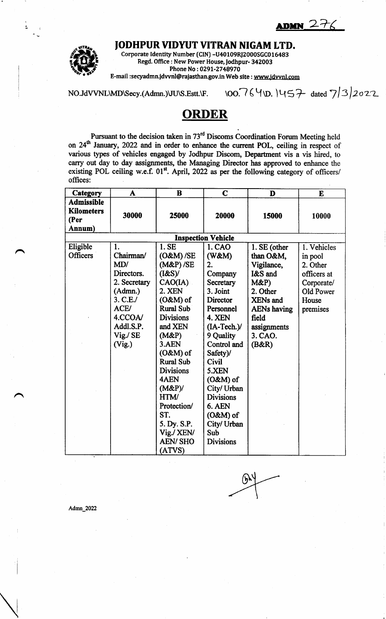$DMN$  27



n

A

JODHPUR VIDYUT VITRAN NIGAM LTD.

Corporate Identity Number (CIN) -U40 109RI2000SGC0 1 6483 Regd. Office: New Power House, Jodhpur- 342003 Phone No: 0291-2748970

E-mail :seryadmn.idwnl@rajasthan.gov.in Web site : wwwjdvwrl.com

NO.JdVVNL\MD\Secy.(Admn.)\JU\S.Estt.\F. \OO.764\D. |457 dated  $7/3/2022$ 

## **ORDER**

Pursuant to the decision taken in 73<sup>th</sup> Discoms Coordination Forum Meeting held on 24<sup>th</sup> January, 2022 and in order to enhance the current POL, ceiling in respect of various types of vehicles engaged by Jodhpur Discom, Departnent vis a vis hired, to carry out day to day assignments, the Managing Director has approved to enhance the existing POL ceiling w.e.f.  $01^{st}$ . April, 2022 as per the following category of officers/ offices:

| Category                                                 | A            | $\bf{B}$         | $\mathbf C$      | D                  | E           |  |  |  |  |  |
|----------------------------------------------------------|--------------|------------------|------------------|--------------------|-------------|--|--|--|--|--|
| <b>Admissible</b><br><b>Kilometers</b><br>(Per<br>Annum) | 30000        | 25000            | 20000            | 15000              | 10000       |  |  |  |  |  |
| <b>Inspection Vehicle</b>                                |              |                  |                  |                    |             |  |  |  |  |  |
| Eligible                                                 | 1.           | 1. SE            | 1. CAO           | 1. SE (other       | 1. Vehicles |  |  |  |  |  |
| <b>Officers</b>                                          | Chairman/    | $(O&M)$ /SE      | (W&M)            | than O&M,          | in pool     |  |  |  |  |  |
|                                                          | MD/          | $(M&P)$ /SE      | 2.               | Vigilance,         | 2. Other    |  |  |  |  |  |
|                                                          | Directors.   | (I&S)            | Company          | I&S and            | officers at |  |  |  |  |  |
|                                                          | 2. Secretary | CAO(IA)          | Secretary        | $M\&P$             | Corporate/  |  |  |  |  |  |
|                                                          | (Admn.)      | 2. XEN           | 3. Joint         | 2. Other           | Old Power   |  |  |  |  |  |
|                                                          | 3. C.E.      | $(O&M)$ of       | Director         | <b>XENs</b> and    | House       |  |  |  |  |  |
|                                                          | ACE/         | <b>Rural Sub</b> | Personnel        | <b>AENs having</b> | premises    |  |  |  |  |  |
|                                                          | 4.CCOA/      | <b>Divisions</b> | 4. XEN           | field              |             |  |  |  |  |  |
|                                                          | Addl.S.P.    | and XEN          | $(IA-Tech.)/$    | assignments        |             |  |  |  |  |  |
|                                                          | Vig./ SE     | (M&P)            | 9 Quality        | 3. CAO.            |             |  |  |  |  |  |
|                                                          | (Vig.)       | 3.AEN            | Control and      | (B&R)              |             |  |  |  |  |  |
|                                                          |              | $(O&M)$ of       | Safety)/         |                    |             |  |  |  |  |  |
|                                                          |              | <b>Rural Sub</b> | <b>Civil</b>     |                    |             |  |  |  |  |  |
|                                                          |              | <b>Divisions</b> | 5.XEN            |                    |             |  |  |  |  |  |
|                                                          |              | 4AEN             | $(O&M)$ of       |                    |             |  |  |  |  |  |
|                                                          |              | (M&P)            | City/ Urban      |                    |             |  |  |  |  |  |
|                                                          |              | HTM/             | <b>Divisions</b> |                    |             |  |  |  |  |  |
|                                                          |              | Protection/      | 6. AEN           |                    |             |  |  |  |  |  |
|                                                          |              | ST.              | $(O&M)$ of       |                    |             |  |  |  |  |  |
|                                                          |              | 5. Dy. S.P.      | City/ Urban      |                    |             |  |  |  |  |  |
|                                                          |              | Vig./ XEN/       | Sub              |                    |             |  |  |  |  |  |
|                                                          |              | <b>AEN/SHO</b>   | <b>Divisions</b> |                    |             |  |  |  |  |  |
|                                                          |              | (ATVS)           |                  |                    |             |  |  |  |  |  |

 $6 - 12$  $\overline{\phantom{a}}$ 

Admn\_2022